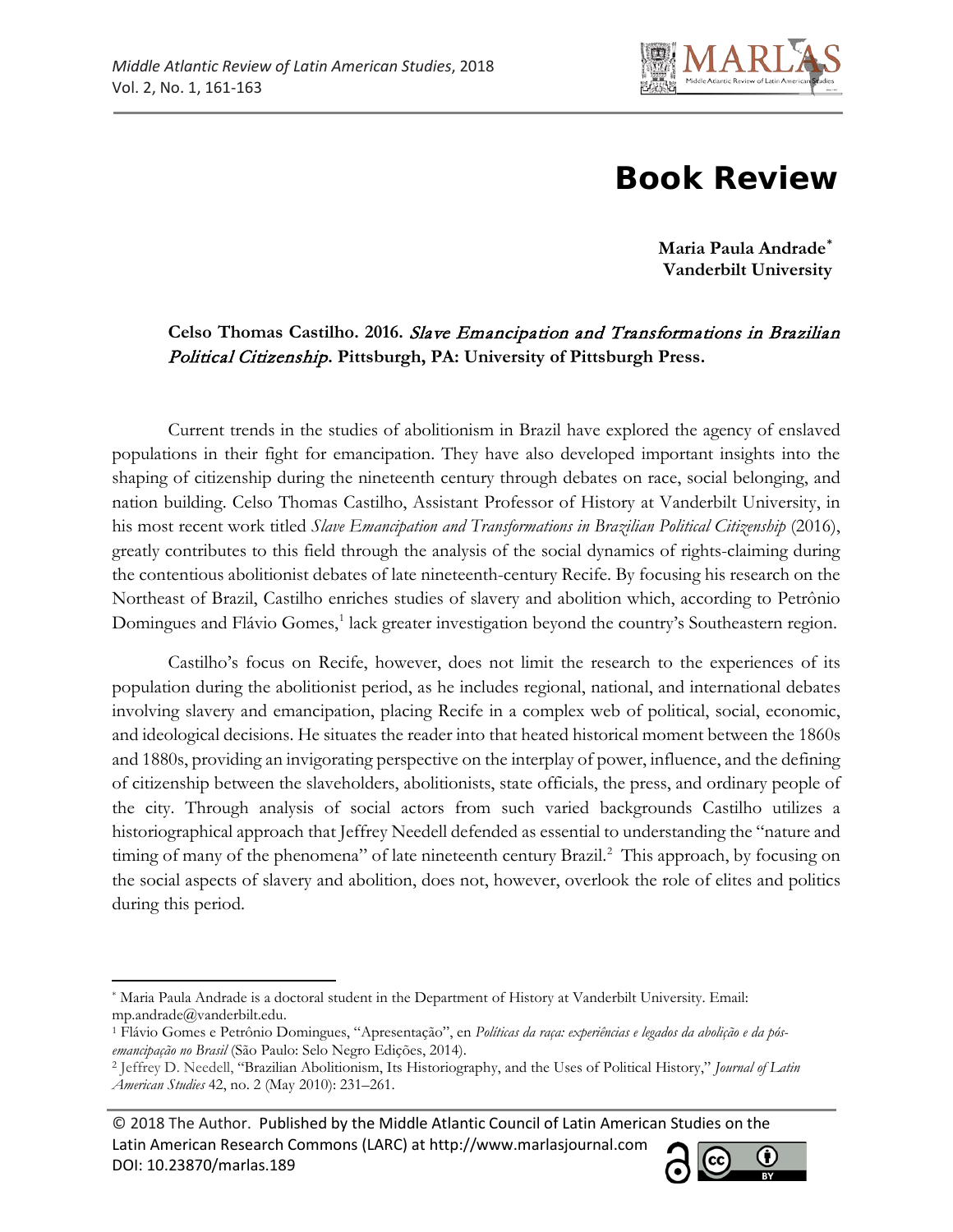

## **Book Review**

**Maria Paula Andrade[\\*](#page-0-0) Vanderbilt University**

## **Celso Thomas Castilho. 2016.** Slave Emancipation and Transformations in Brazilian Political Citizenship**. Pittsburgh, PA: University of Pittsburgh Press.**

Current trends in the studies of abolitionism in Brazil have explored the agency of enslaved populations in their fight for emancipation. They have also developed important insights into the shaping of citizenship during the nineteenth century through debates on race, social belonging, and nation building. Celso Thomas Castilho, Assistant Professor of History at Vanderbilt University, in his most recent work titled *Slave Emancipation and Transformations in Brazilian Political Citizenship* (2016), greatly contributes to this field through the analysis of the social dynamics of rights-claiming during the contentious abolitionist debates of late nineteenth-century Recife. By focusing his research on the Northeast of Brazil, Castilho enriches studies of slavery and abolition which, according to Petrônio Domingues and Flávio Gomes,<sup>[1](#page-0-1)</sup> lack greater investigation beyond the country's Southeastern region.

Castilho's focus on Recife, however, does not limit the research to the experiences of its population during the abolitionist period, as he includes regional, national, and international debates involving slavery and emancipation, placing Recife in a complex web of political, social, economic, and ideological decisions. He situates the reader into that heated historical moment between the 1860s and 1880s, providing an invigorating perspective on the interplay of power, influence, and the defining of citizenship between the slaveholders, abolitionists, state officials, the press, and ordinary people of the city. Through analysis of social actors from such varied backgrounds Castilho utilizes a historiographical approach that Jeffrey Needell defended as essential to understanding the "nature and timing of many of the phenomena" of late nineteenth century Brazil.<sup>[2](#page-0-2)</sup> This approach, by focusing on the social aspects of slavery and abolition, does not, however, overlook the role of elites and politics during this period.

© 2018 The Author. Published by the Middle Atlantic Council of Latin American Studies on the Latin American Research Commons (LARC) at http://www.marlasjournal.com DOI: [10.23870/marlas.189](https://doi.org/10.23870/marlas.189)



<span id="page-0-0"></span> $\overline{\phantom{a}}$ \* Maria Paula Andrade is a doctoral student in the Department of History at Vanderbilt University. Email: mp.andrade@vanderbilt.edu.

<span id="page-0-1"></span><sup>1</sup> Flávio Gomes e Petrônio Domingues, "Apresentação", en *Políticas da raça: experiências e legados da abolição e da pósemancipação no Brasil* (São Paulo: Selo Negro Edições, 2014).

<span id="page-0-2"></span><sup>2</sup> Jeffrey D. Needell, "Brazilian Abolitionism, Its Historiography, and the Uses of Political History," *Journal of Latin American Studies* 42, no. 2 (May 2010): 231–261.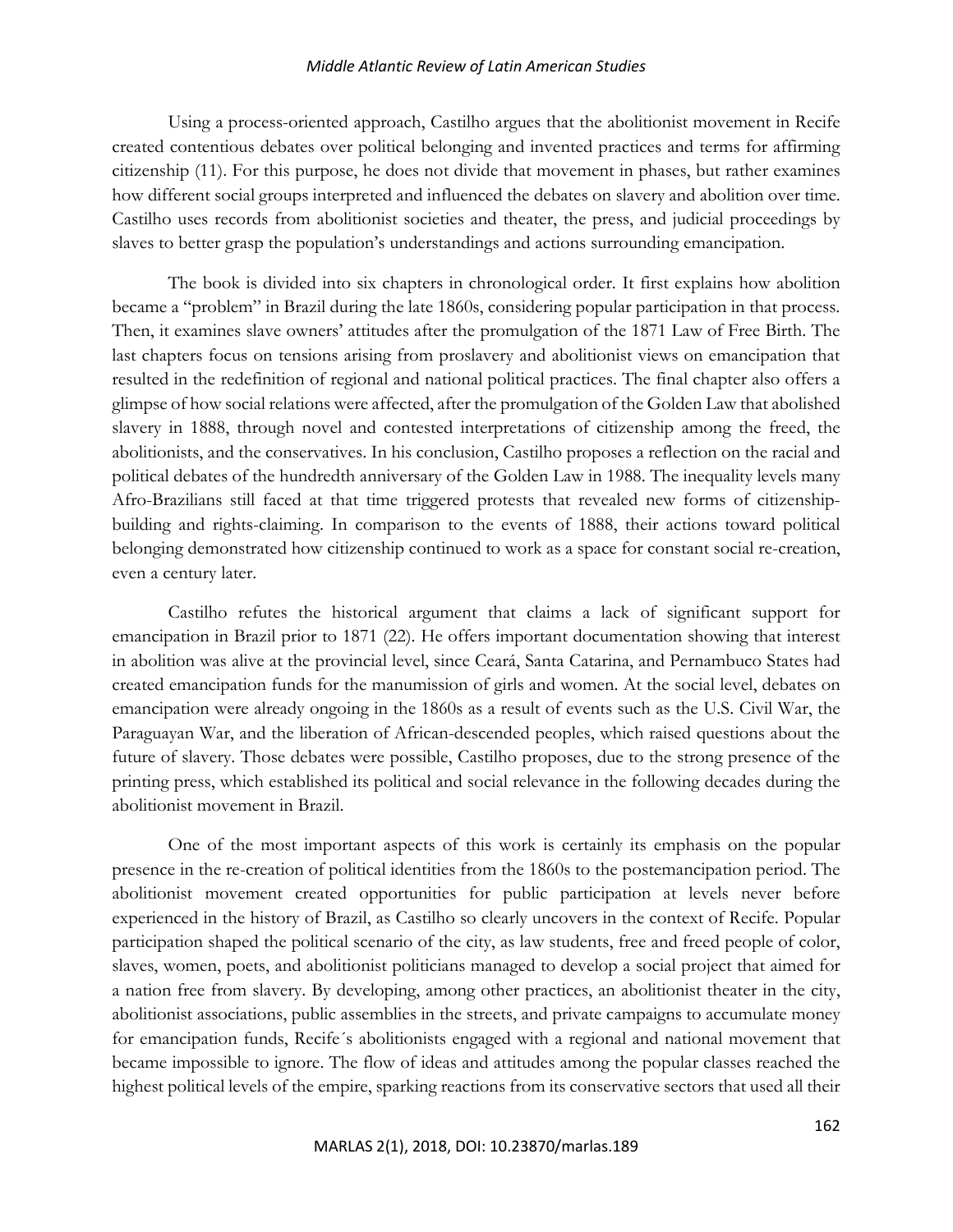## *Middle Atlantic Review of Latin American Studies*

Using a process-oriented approach, Castilho argues that the abolitionist movement in Recife created contentious debates over political belonging and invented practices and terms for affirming citizenship (11). For this purpose, he does not divide that movement in phases, but rather examines how different social groups interpreted and influenced the debates on slavery and abolition over time. Castilho uses records from abolitionist societies and theater, the press, and judicial proceedings by slaves to better grasp the population's understandings and actions surrounding emancipation.

The book is divided into six chapters in chronological order. It first explains how abolition became a "problem" in Brazil during the late 1860s, considering popular participation in that process. Then, it examines slave owners' attitudes after the promulgation of the 1871 Law of Free Birth. The last chapters focus on tensions arising from proslavery and abolitionist views on emancipation that resulted in the redefinition of regional and national political practices. The final chapter also offers a glimpse of how social relations were affected, after the promulgation of the Golden Law that abolished slavery in 1888, through novel and contested interpretations of citizenship among the freed, the abolitionists, and the conservatives. In his conclusion, Castilho proposes a reflection on the racial and political debates of the hundredth anniversary of the Golden Law in 1988. The inequality levels many Afro-Brazilians still faced at that time triggered protests that revealed new forms of citizenshipbuilding and rights-claiming. In comparison to the events of 1888, their actions toward political belonging demonstrated how citizenship continued to work as a space for constant social re-creation, even a century later.

Castilho refutes the historical argument that claims a lack of significant support for emancipation in Brazil prior to 1871 (22). He offers important documentation showing that interest in abolition was alive at the provincial level, since Ceará, Santa Catarina, and Pernambuco States had created emancipation funds for the manumission of girls and women. At the social level, debates on emancipation were already ongoing in the 1860s as a result of events such as the U.S. Civil War, the Paraguayan War, and the liberation of African-descended peoples, which raised questions about the future of slavery. Those debates were possible, Castilho proposes, due to the strong presence of the printing press, which established its political and social relevance in the following decades during the abolitionist movement in Brazil.

One of the most important aspects of this work is certainly its emphasis on the popular presence in the re-creation of political identities from the 1860s to the postemancipation period. The abolitionist movement created opportunities for public participation at levels never before experienced in the history of Brazil, as Castilho so clearly uncovers in the context of Recife. Popular participation shaped the political scenario of the city, as law students, free and freed people of color, slaves, women, poets, and abolitionist politicians managed to develop a social project that aimed for a nation free from slavery. By developing, among other practices, an abolitionist theater in the city, abolitionist associations, public assemblies in the streets, and private campaigns to accumulate money for emancipation funds, Recife´s abolitionists engaged with a regional and national movement that became impossible to ignore. The flow of ideas and attitudes among the popular classes reached the highest political levels of the empire, sparking reactions from its conservative sectors that used all their